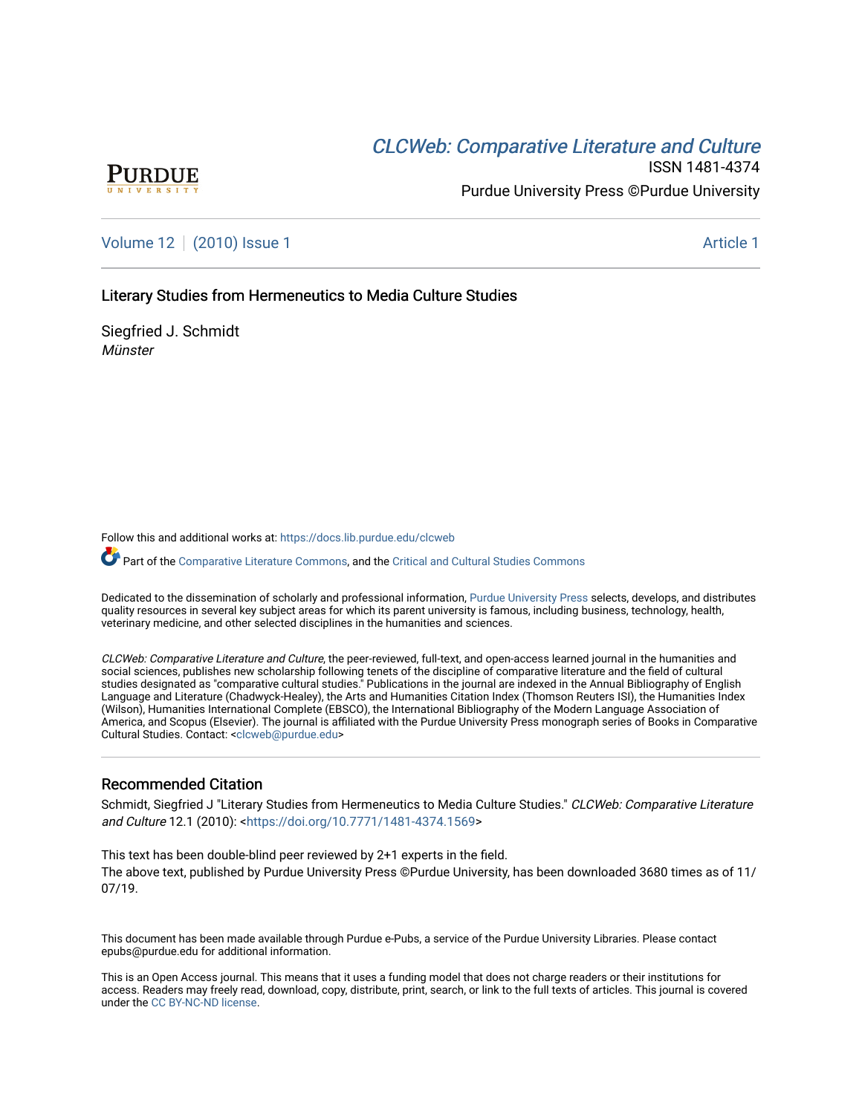# **CLCW[eb: Comparative Liter](https://docs.lib.purdue.edu/clcweb)ature and Culture**



ISSN 1481-4374 Purdue University Press ©Purdue University

[Volume 12](https://docs.lib.purdue.edu/clcweb/vol12) | [\(2010\) Issue 1](https://docs.lib.purdue.edu/clcweb/vol12/iss1) Article 1

Literary Studies from Hermeneutics to Media Culture Studies

Siegfried J. Schmidt **Münster** 

Follow this and additional works at: [https://docs.lib.purdue.edu/clcweb](https://docs.lib.purdue.edu/clcweb?utm_source=docs.lib.purdue.edu%2Fclcweb%2Fvol12%2Fiss1%2F1&utm_medium=PDF&utm_campaign=PDFCoverPages)

Part of the [Comparative Literature Commons,](http://network.bepress.com/hgg/discipline/454?utm_source=docs.lib.purdue.edu%2Fclcweb%2Fvol12%2Fiss1%2F1&utm_medium=PDF&utm_campaign=PDFCoverPages) and the Critical and Cultural Studies Commons

Dedicated to the dissemination of scholarly and professional information, [Purdue University Press](http://www.thepress.purdue.edu/) selects, develops, and distributes quality resources in several key subject areas for which its parent university is famous, including business, technology, health, veterinary medicine, and other selected disciplines in the humanities and sciences.

CLCWeb: Comparative Literature and Culture, the peer-reviewed, full-text, and open-access learned journal in the humanities and social sciences, publishes new scholarship following tenets of the discipline of comparative literature and the field of cultural studies designated as "comparative cultural studies." Publications in the journal are indexed in the Annual Bibliography of English Language and Literature (Chadwyck-Healey), the Arts and Humanities Citation Index (Thomson Reuters ISI), the Humanities Index (Wilson), Humanities International Complete (EBSCO), the International Bibliography of the Modern Language Association of America, and Scopus (Elsevier). The journal is affiliated with the Purdue University Press monograph series of Books in Comparative Cultural Studies. Contact: [<clcweb@purdue.edu](mailto:clcweb@purdue.edu)>

#### Recommended Citation

Schmidt, Siegfried J "Literary Studies from Hermeneutics to Media Culture Studies." CLCWeb: Comparative Literature and Culture 12.1 (2010): [<https://doi.org/10.7771/1481-4374.1569>](https://doi.org/10.7771/1481-4374.1569)

This text has been double-blind peer reviewed by 2+1 experts in the field. The above text, published by Purdue University Press ©Purdue University, has been downloaded 3680 times as of 11/ 07/19.

This document has been made available through Purdue e-Pubs, a service of the Purdue University Libraries. Please contact epubs@purdue.edu for additional information.

This is an Open Access journal. This means that it uses a funding model that does not charge readers or their institutions for access. Readers may freely read, download, copy, distribute, print, search, or link to the full texts of articles. This journal is covered under the [CC BY-NC-ND license.](https://creativecommons.org/licenses/by-nc-nd/4.0/)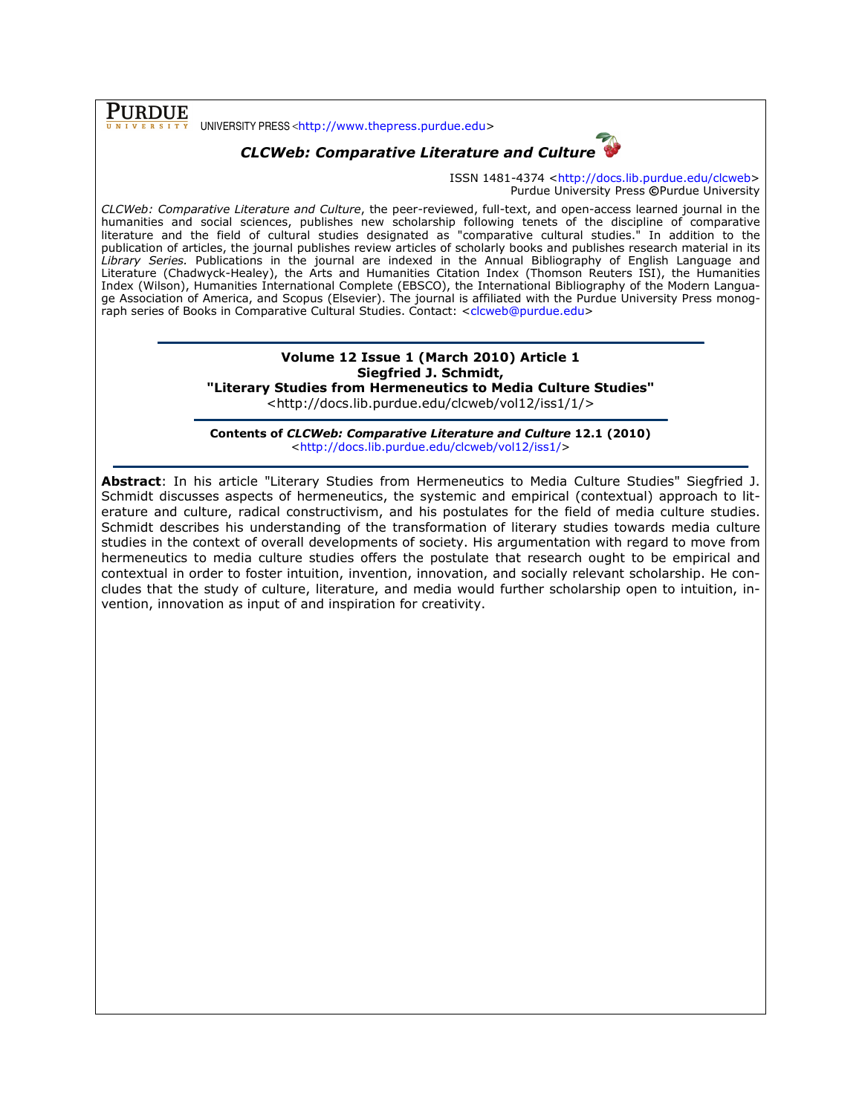**PURDUE** UNIVERSITY PRESS <http://www.thepress.purdue.edu>

## CLCWeb: Comparative Literature and Culture



ISSN 1481-4374 <http://docs.lib.purdue.edu/clcweb> Purdue University Press ©Purdue University

CLCWeb: Comparative Literature and Culture, the peer-reviewed, full-text, and open-access learned journal in the humanities and social sciences, publishes new scholarship following tenets of the discipline of comparative literature and the field of cultural studies designated as "comparative cultural studies." In addition to the publication of articles, the journal publishes review articles of scholarly books and publishes research material in its Library Series. Publications in the journal are indexed in the Annual Bibliography of English Language and Literature (Chadwyck-Healey), the Arts and Humanities Citation Index (Thomson Reuters ISI), the Humanities Index (Wilson), Humanities International Complete (EBSCO), the International Bibliography of the Modern Language Association of America, and Scopus (Elsevier). The journal is affiliated with the Purdue University Press monograph series of Books in Comparative Cultural Studies. Contact: <clcweb@purdue.edu>

### Volume 12 Issue 1 (March 2010) Article 1 Siegfried J. Schmidt,

"Literary Studies from Hermeneutics to Media Culture Studies"

<http://docs.lib.purdue.edu/clcweb/vol12/iss1/1/>

Contents of CLCWeb: Comparative Literature and Culture 12.1 (2010) <http://docs.lib.purdue.edu/clcweb/vol12/iss1/>

Abstract: In his article "Literary Studies from Hermeneutics to Media Culture Studies" Siegfried J. Schmidt discusses aspects of hermeneutics, the systemic and empirical (contextual) approach to literature and culture, radical constructivism, and his postulates for the field of media culture studies. Schmidt describes his understanding of the transformation of literary studies towards media culture studies in the context of overall developments of society. His argumentation with regard to move from hermeneutics to media culture studies offers the postulate that research ought to be empirical and contextual in order to foster intuition, invention, innovation, and socially relevant scholarship. He concludes that the study of culture, literature, and media would further scholarship open to intuition, invention, innovation as input of and inspiration for creativity.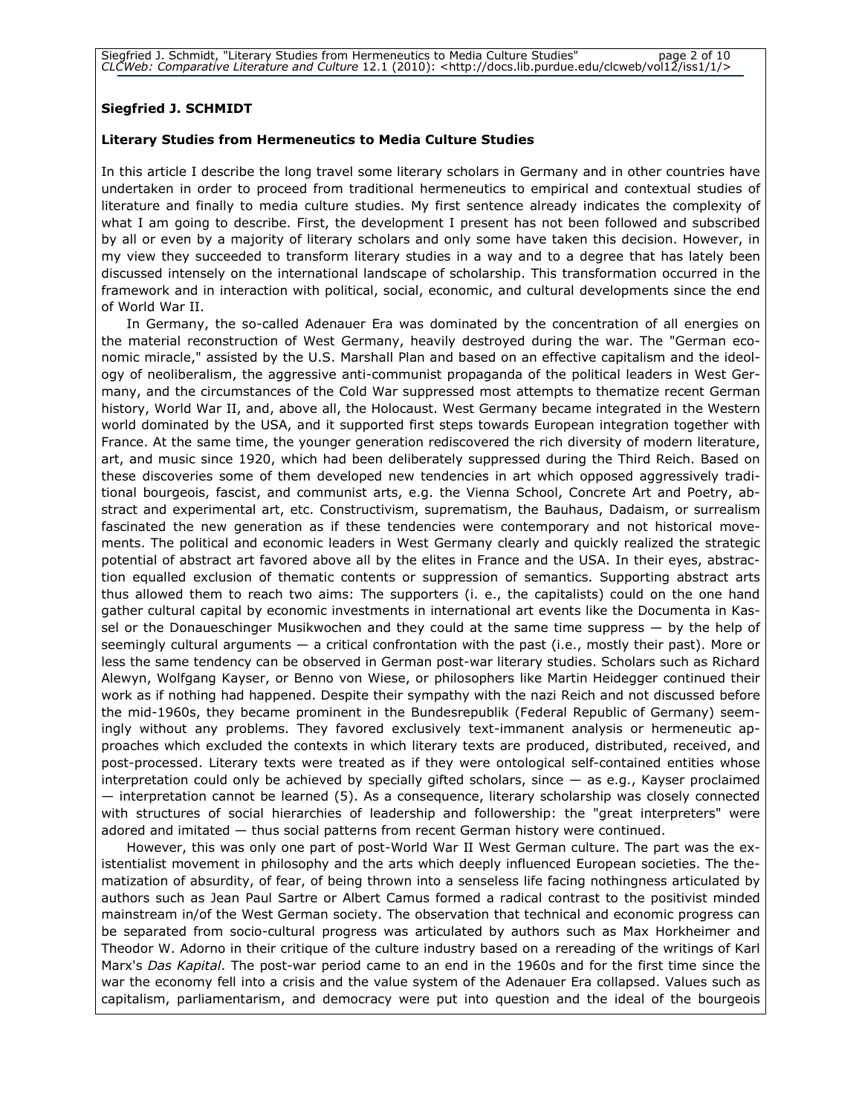#### Siegfried J. SCHMIDT

#### Literary Studies from Hermeneutics to Media Culture Studies

In this article I describe the long travel some literary scholars in Germany and in other countries have undertaken in order to proceed from traditional hermeneutics to empirical and contextual studies of literature and finally to media culture studies. My first sentence already indicates the complexity of what I am going to describe. First, the development I present has not been followed and subscribed by all or even by a majority of literary scholars and only some have taken this decision. However, in my view they succeeded to transform literary studies in a way and to a degree that has lately been discussed intensely on the international landscape of scholarship. This transformation occurred in the framework and in interaction with political, social, economic, and cultural developments since the end of World War II.

In Germany, the so-called Adenauer Era was dominated by the concentration of all energies on the material reconstruction of West Germany, heavily destroyed during the war. The "German economic miracle," assisted by the U.S. Marshall Plan and based on an effective capitalism and the ideology of neoliberalism, the aggressive anti-communist propaganda of the political leaders in West Germany, and the circumstances of the Cold War suppressed most attempts to thematize recent German history, World War II, and, above all, the Holocaust. West Germany became integrated in the Western world dominated by the USA, and it supported first steps towards European integration together with France. At the same time, the younger generation rediscovered the rich diversity of modern literature, art, and music since 1920, which had been deliberately suppressed during the Third Reich. Based on these discoveries some of them developed new tendencies in art which opposed aggressively traditional bourgeois, fascist, and communist arts, e.g. the Vienna School, Concrete Art and Poetry, abstract and experimental art, etc. Constructivism, suprematism, the Bauhaus, Dadaism, or surrealism fascinated the new generation as if these tendencies were contemporary and not historical movements. The political and economic leaders in West Germany clearly and quickly realized the strategic potential of abstract art favored above all by the elites in France and the USA. In their eyes, abstraction equalled exclusion of thematic contents or suppression of semantics. Supporting abstract arts thus allowed them to reach two aims: The supporters (i. e., the capitalists) could on the one hand gather cultural capital by economic investments in international art events like the Documenta in Kassel or the Donaueschinger Musikwochen and they could at the same time suppress — by the help of seemingly cultural arguments — a critical confrontation with the past (i.e., mostly their past). More or less the same tendency can be observed in German post-war literary studies. Scholars such as Richard Alewyn, Wolfgang Kayser, or Benno von Wiese, or philosophers like Martin Heidegger continued their work as if nothing had happened. Despite their sympathy with the nazi Reich and not discussed before the mid-1960s, they became prominent in the Bundesrepublik (Federal Republic of Germany) seemingly without any problems. They favored exclusively text-immanent analysis or hermeneutic approaches which excluded the contexts in which literary texts are produced, distributed, received, and post-processed. Literary texts were treated as if they were ontological self-contained entities whose interpretation could only be achieved by specially gifted scholars, since — as e.g., Kayser proclaimed — interpretation cannot be learned (5). As a consequence, literary scholarship was closely connected with structures of social hierarchies of leadership and followership: the "great interpreters" were adored and imitated — thus social patterns from recent German history were continued.

However, this was only one part of post-World War II West German culture. The part was the existentialist movement in philosophy and the arts which deeply influenced European societies. The thematization of absurdity, of fear, of being thrown into a senseless life facing nothingness articulated by authors such as Jean Paul Sartre or Albert Camus formed a radical contrast to the positivist minded mainstream in/of the West German society. The observation that technical and economic progress can be separated from socio-cultural progress was articulated by authors such as Max Horkheimer and Theodor W. Adorno in their critique of the culture industry based on a rereading of the writings of Karl Marx's Das Kapital. The post-war period came to an end in the 1960s and for the first time since the war the economy fell into a crisis and the value system of the Adenauer Era collapsed. Values such as capitalism, parliamentarism, and democracy were put into question and the ideal of the bourgeois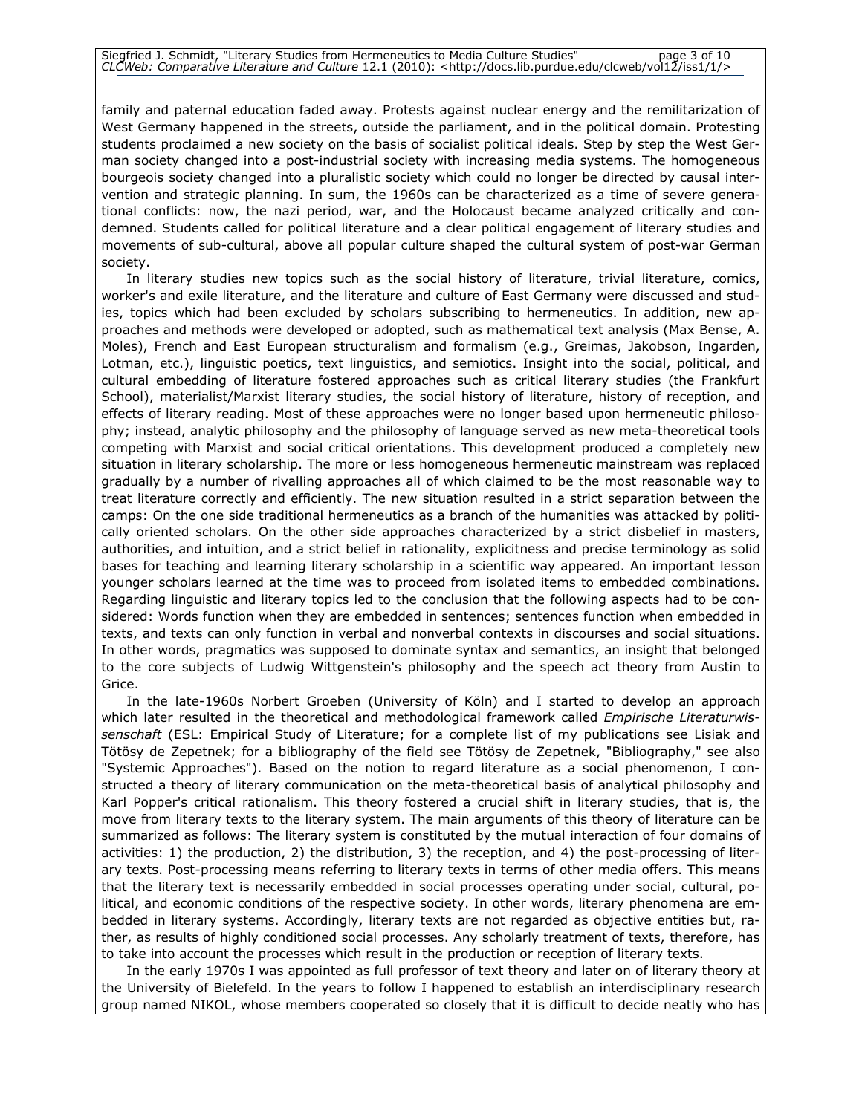family and paternal education faded away. Protests against nuclear energy and the remilitarization of West Germany happened in the streets, outside the parliament, and in the political domain. Protesting students proclaimed a new society on the basis of socialist political ideals. Step by step the West German society changed into a post-industrial society with increasing media systems. The homogeneous bourgeois society changed into a pluralistic society which could no longer be directed by causal intervention and strategic planning. In sum, the 1960s can be characterized as a time of severe generational conflicts: now, the nazi period, war, and the Holocaust became analyzed critically and condemned. Students called for political literature and a clear political engagement of literary studies and movements of sub-cultural, above all popular culture shaped the cultural system of post-war German society.

In literary studies new topics such as the social history of literature, trivial literature, comics, worker's and exile literature, and the literature and culture of East Germany were discussed and studies, topics which had been excluded by scholars subscribing to hermeneutics. In addition, new approaches and methods were developed or adopted, such as mathematical text analysis (Max Bense, A. Moles), French and East European structuralism and formalism (e.g., Greimas, Jakobson, Ingarden, Lotman, etc.), linguistic poetics, text linguistics, and semiotics. Insight into the social, political, and cultural embedding of literature fostered approaches such as critical literary studies (the Frankfurt School), materialist/Marxist literary studies, the social history of literature, history of reception, and effects of literary reading. Most of these approaches were no longer based upon hermeneutic philosophy; instead, analytic philosophy and the philosophy of language served as new meta-theoretical tools competing with Marxist and social critical orientations. This development produced a completely new situation in literary scholarship. The more or less homogeneous hermeneutic mainstream was replaced gradually by a number of rivalling approaches all of which claimed to be the most reasonable way to treat literature correctly and efficiently. The new situation resulted in a strict separation between the camps: On the one side traditional hermeneutics as a branch of the humanities was attacked by politically oriented scholars. On the other side approaches characterized by a strict disbelief in masters, authorities, and intuition, and a strict belief in rationality, explicitness and precise terminology as solid bases for teaching and learning literary scholarship in a scientific way appeared. An important lesson younger scholars learned at the time was to proceed from isolated items to embedded combinations. Regarding linguistic and literary topics led to the conclusion that the following aspects had to be considered: Words function when they are embedded in sentences; sentences function when embedded in texts, and texts can only function in verbal and nonverbal contexts in discourses and social situations. In other words, pragmatics was supposed to dominate syntax and semantics, an insight that belonged to the core subjects of Ludwig Wittgenstein's philosophy and the speech act theory from Austin to Grice.

In the late-1960s Norbert Groeben (University of Köln) and I started to develop an approach which later resulted in the theoretical and methodological framework called Empirische Literaturwissenschaft (ESL: Empirical Study of Literature; for a complete list of my publications see Lisiak and Tötösy de Zepetnek; for a bibliography of the field see Tötösy de Zepetnek, "Bibliography," see also "Systemic Approaches"). Based on the notion to regard literature as a social phenomenon, I constructed a theory of literary communication on the meta-theoretical basis of analytical philosophy and Karl Popper's critical rationalism. This theory fostered a crucial shift in literary studies, that is, the move from literary texts to the literary system. The main arguments of this theory of literature can be summarized as follows: The literary system is constituted by the mutual interaction of four domains of activities: 1) the production, 2) the distribution, 3) the reception, and 4) the post-processing of literary texts. Post-processing means referring to literary texts in terms of other media offers. This means that the literary text is necessarily embedded in social processes operating under social, cultural, political, and economic conditions of the respective society. In other words, literary phenomena are embedded in literary systems. Accordingly, literary texts are not regarded as objective entities but, rather, as results of highly conditioned social processes. Any scholarly treatment of texts, therefore, has to take into account the processes which result in the production or reception of literary texts.

In the early 1970s I was appointed as full professor of text theory and later on of literary theory at the University of Bielefeld. In the years to follow I happened to establish an interdisciplinary research group named NIKOL, whose members cooperated so closely that it is difficult to decide neatly who has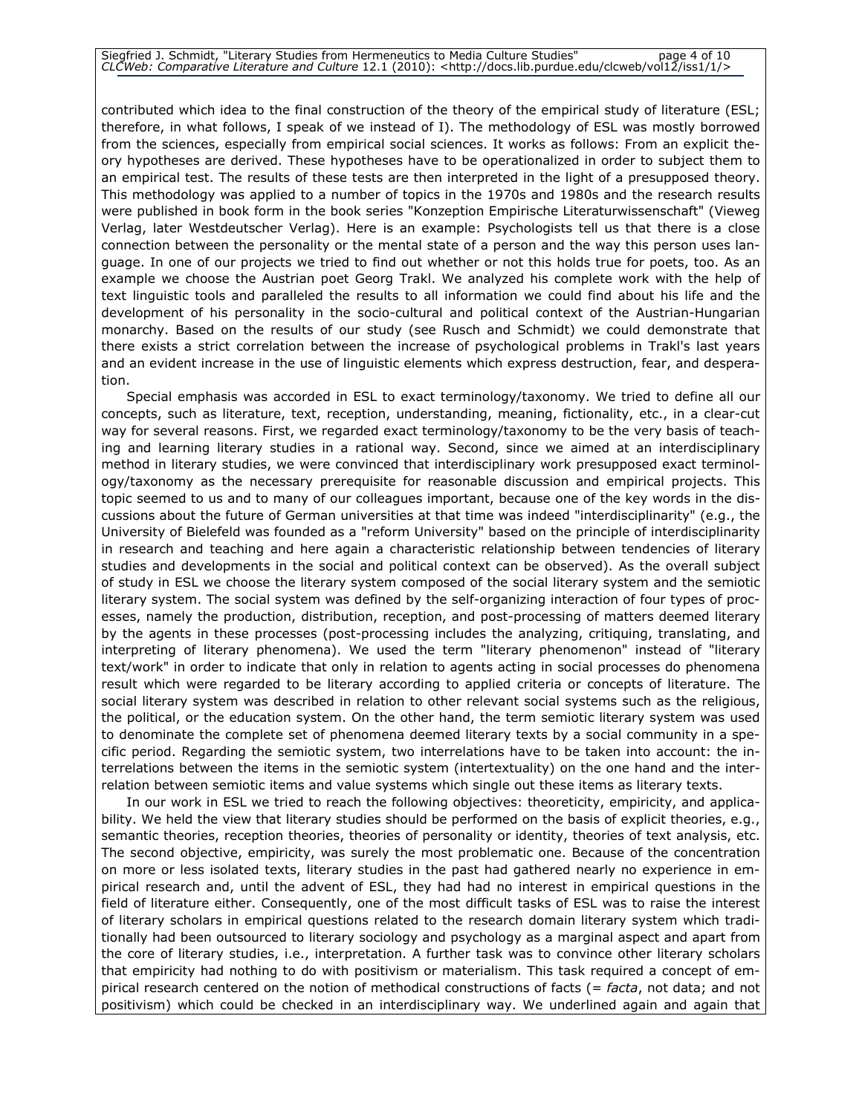contributed which idea to the final construction of the theory of the empirical study of literature (ESL; therefore, in what follows, I speak of we instead of I). The methodology of ESL was mostly borrowed from the sciences, especially from empirical social sciences. It works as follows: From an explicit theory hypotheses are derived. These hypotheses have to be operationalized in order to subject them to an empirical test. The results of these tests are then interpreted in the light of a presupposed theory. This methodology was applied to a number of topics in the 1970s and 1980s and the research results were published in book form in the book series "Konzeption Empirische Literaturwissenschaft" (Vieweg Verlag, later Westdeutscher Verlag). Here is an example: Psychologists tell us that there is a close connection between the personality or the mental state of a person and the way this person uses language. In one of our projects we tried to find out whether or not this holds true for poets, too. As an example we choose the Austrian poet Georg Trakl. We analyzed his complete work with the help of text linguistic tools and paralleled the results to all information we could find about his life and the development of his personality in the socio-cultural and political context of the Austrian-Hungarian monarchy. Based on the results of our study (see Rusch and Schmidt) we could demonstrate that there exists a strict correlation between the increase of psychological problems in Trakl's last years and an evident increase in the use of linguistic elements which express destruction, fear, and desperation.

Special emphasis was accorded in ESL to exact terminology/taxonomy. We tried to define all our concepts, such as literature, text, reception, understanding, meaning, fictionality, etc., in a clear-cut way for several reasons. First, we regarded exact terminology/taxonomy to be the very basis of teaching and learning literary studies in a rational way. Second, since we aimed at an interdisciplinary method in literary studies, we were convinced that interdisciplinary work presupposed exact terminology/taxonomy as the necessary prerequisite for reasonable discussion and empirical projects. This topic seemed to us and to many of our colleagues important, because one of the key words in the discussions about the future of German universities at that time was indeed "interdisciplinarity" (e.g., the University of Bielefeld was founded as a "reform University" based on the principle of interdisciplinarity in research and teaching and here again a characteristic relationship between tendencies of literary studies and developments in the social and political context can be observed). As the overall subject of study in ESL we choose the literary system composed of the social literary system and the semiotic literary system. The social system was defined by the self-organizing interaction of four types of processes, namely the production, distribution, reception, and post-processing of matters deemed literary by the agents in these processes (post-processing includes the analyzing, critiquing, translating, and interpreting of literary phenomena). We used the term "literary phenomenon" instead of "literary text/work" in order to indicate that only in relation to agents acting in social processes do phenomena result which were regarded to be literary according to applied criteria or concepts of literature. The social literary system was described in relation to other relevant social systems such as the religious, the political, or the education system. On the other hand, the term semiotic literary system was used to denominate the complete set of phenomena deemed literary texts by a social community in a specific period. Regarding the semiotic system, two interrelations have to be taken into account: the interrelations between the items in the semiotic system (intertextuality) on the one hand and the interrelation between semiotic items and value systems which single out these items as literary texts.

In our work in ESL we tried to reach the following objectives: theoreticity, empiricity, and applicability. We held the view that literary studies should be performed on the basis of explicit theories, e.g., semantic theories, reception theories, theories of personality or identity, theories of text analysis, etc. The second objective, empiricity, was surely the most problematic one. Because of the concentration on more or less isolated texts, literary studies in the past had gathered nearly no experience in empirical research and, until the advent of ESL, they had had no interest in empirical questions in the field of literature either. Consequently, one of the most difficult tasks of ESL was to raise the interest of literary scholars in empirical questions related to the research domain literary system which traditionally had been outsourced to literary sociology and psychology as a marginal aspect and apart from the core of literary studies, i.e., interpretation. A further task was to convince other literary scholars that empiricity had nothing to do with positivism or materialism. This task required a concept of empirical research centered on the notion of methodical constructions of facts (=  $facta$ , not data; and not positivism) which could be checked in an interdisciplinary way. We underlined again and again that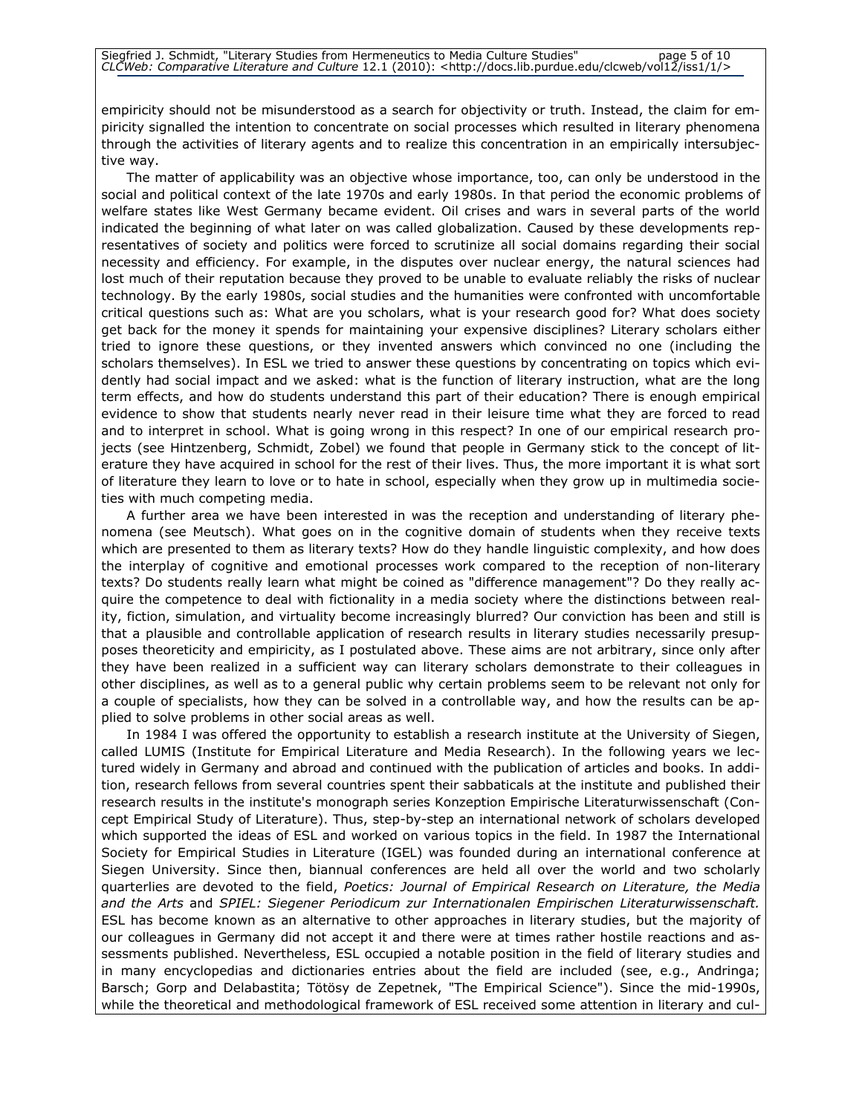empiricity should not be misunderstood as a search for objectivity or truth. Instead, the claim for empiricity signalled the intention to concentrate on social processes which resulted in literary phenomena through the activities of literary agents and to realize this concentration in an empirically intersubjective way.

The matter of applicability was an objective whose importance, too, can only be understood in the social and political context of the late 1970s and early 1980s. In that period the economic problems of welfare states like West Germany became evident. Oil crises and wars in several parts of the world indicated the beginning of what later on was called globalization. Caused by these developments representatives of society and politics were forced to scrutinize all social domains regarding their social necessity and efficiency. For example, in the disputes over nuclear energy, the natural sciences had lost much of their reputation because they proved to be unable to evaluate reliably the risks of nuclear technology. By the early 1980s, social studies and the humanities were confronted with uncomfortable critical questions such as: What are you scholars, what is your research good for? What does society get back for the money it spends for maintaining your expensive disciplines? Literary scholars either tried to ignore these questions, or they invented answers which convinced no one (including the scholars themselves). In ESL we tried to answer these questions by concentrating on topics which evidently had social impact and we asked: what is the function of literary instruction, what are the long term effects, and how do students understand this part of their education? There is enough empirical evidence to show that students nearly never read in their leisure time what they are forced to read and to interpret in school. What is going wrong in this respect? In one of our empirical research projects (see Hintzenberg, Schmidt, Zobel) we found that people in Germany stick to the concept of literature they have acquired in school for the rest of their lives. Thus, the more important it is what sort of literature they learn to love or to hate in school, especially when they grow up in multimedia societies with much competing media.

A further area we have been interested in was the reception and understanding of literary phenomena (see Meutsch). What goes on in the cognitive domain of students when they receive texts which are presented to them as literary texts? How do they handle linguistic complexity, and how does the interplay of cognitive and emotional processes work compared to the reception of non-literary texts? Do students really learn what might be coined as "difference management"? Do they really acquire the competence to deal with fictionality in a media society where the distinctions between reality, fiction, simulation, and virtuality become increasingly blurred? Our conviction has been and still is that a plausible and controllable application of research results in literary studies necessarily presupposes theoreticity and empiricity, as I postulated above. These aims are not arbitrary, since only after they have been realized in a sufficient way can literary scholars demonstrate to their colleagues in other disciplines, as well as to a general public why certain problems seem to be relevant not only for a couple of specialists, how they can be solved in a controllable way, and how the results can be applied to solve problems in other social areas as well.

In 1984 I was offered the opportunity to establish a research institute at the University of Siegen, called LUMIS (Institute for Empirical Literature and Media Research). In the following years we lectured widely in Germany and abroad and continued with the publication of articles and books. In addition, research fellows from several countries spent their sabbaticals at the institute and published their research results in the institute's monograph series Konzeption Empirische Literaturwissenschaft (Concept Empirical Study of Literature). Thus, step-by-step an international network of scholars developed which supported the ideas of ESL and worked on various topics in the field. In 1987 the International Society for Empirical Studies in Literature (IGEL) was founded during an international conference at Siegen University. Since then, biannual conferences are held all over the world and two scholarly quarterlies are devoted to the field, Poetics: Journal of Empirical Research on Literature, the Media and the Arts and SPIEL: Siegener Periodicum zur Internationalen Empirischen Literaturwissenschaft. ESL has become known as an alternative to other approaches in literary studies, but the majority of our colleagues in Germany did not accept it and there were at times rather hostile reactions and assessments published. Nevertheless, ESL occupied a notable position in the field of literary studies and in many encyclopedias and dictionaries entries about the field are included (see, e.g., Andringa; Barsch; Gorp and Delabastita; Tötösy de Zepetnek, "The Empirical Science"). Since the mid-1990s, while the theoretical and methodological framework of ESL received some attention in literary and cul-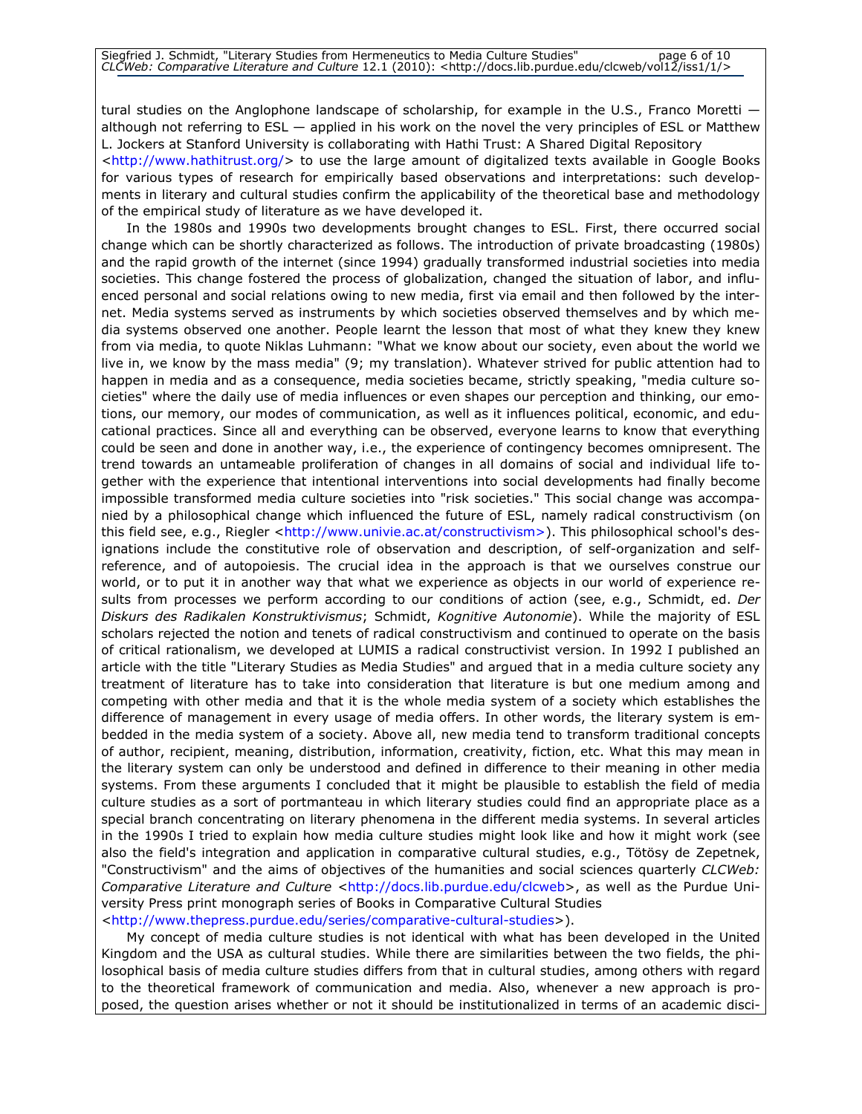tural studies on the Anglophone landscape of scholarship, for example in the U.S., Franco Moretti although not referring to ESL — applied in his work on the novel the very principles of ESL or Matthew L. Jockers at Stanford University is collaborating with Hathi Trust: A Shared Digital Repository

<http://www.hathitrust.org/> to use the large amount of digitalized texts available in Google Books for various types of research for empirically based observations and interpretations: such developments in literary and cultural studies confirm the applicability of the theoretical base and methodology of the empirical study of literature as we have developed it.

In the 1980s and 1990s two developments brought changes to ESL. First, there occurred social change which can be shortly characterized as follows. The introduction of private broadcasting (1980s) and the rapid growth of the internet (since 1994) gradually transformed industrial societies into media societies. This change fostered the process of globalization, changed the situation of labor, and influenced personal and social relations owing to new media, first via email and then followed by the internet. Media systems served as instruments by which societies observed themselves and by which media systems observed one another. People learnt the lesson that most of what they knew they knew from via media, to quote Niklas Luhmann: "What we know about our society, even about the world we live in, we know by the mass media" (9; my translation). Whatever strived for public attention had to happen in media and as a consequence, media societies became, strictly speaking, "media culture societies" where the daily use of media influences or even shapes our perception and thinking, our emotions, our memory, our modes of communication, as well as it influences political, economic, and educational practices. Since all and everything can be observed, everyone learns to know that everything could be seen and done in another way, i.e., the experience of contingency becomes omnipresent. The trend towards an untameable proliferation of changes in all domains of social and individual life together with the experience that intentional interventions into social developments had finally become impossible transformed media culture societies into "risk societies." This social change was accompanied by a philosophical change which influenced the future of ESL, namely radical constructivism (on this field see, e.g., Riegler <http://www.univie.ac.at/constructivism>). This philosophical school's designations include the constitutive role of observation and description, of self-organization and selfreference, and of autopoiesis. The crucial idea in the approach is that we ourselves construe our world, or to put it in another way that what we experience as objects in our world of experience results from processes we perform according to our conditions of action (see, e.g., Schmidt, ed. Der Diskurs des Radikalen Konstruktivismus; Schmidt, Kognitive Autonomie). While the majority of ESL scholars rejected the notion and tenets of radical constructivism and continued to operate on the basis of critical rationalism, we developed at LUMIS a radical constructivist version. In 1992 I published an article with the title "Literary Studies as Media Studies" and argued that in a media culture society any treatment of literature has to take into consideration that literature is but one medium among and competing with other media and that it is the whole media system of a society which establishes the difference of management in every usage of media offers. In other words, the literary system is embedded in the media system of a society. Above all, new media tend to transform traditional concepts of author, recipient, meaning, distribution, information, creativity, fiction, etc. What this may mean in the literary system can only be understood and defined in difference to their meaning in other media systems. From these arguments I concluded that it might be plausible to establish the field of media culture studies as a sort of portmanteau in which literary studies could find an appropriate place as a special branch concentrating on literary phenomena in the different media systems. In several articles in the 1990s I tried to explain how media culture studies might look like and how it might work (see also the field's integration and application in comparative cultural studies, e.g., Tötösy de Zepetnek, "Constructivism" and the aims of objectives of the humanities and social sciences quarterly CLCWeb: Comparative Literature and Culture <http://docs.lib.purdue.edu/clcweb>, as well as the Purdue University Press print monograph series of Books in Comparative Cultural Studies <http://www.thepress.purdue.edu/series/comparative-cultural-studies>).

My concept of media culture studies is not identical with what has been developed in the United Kingdom and the USA as cultural studies. While there are similarities between the two fields, the philosophical basis of media culture studies differs from that in cultural studies, among others with regard to the theoretical framework of communication and media. Also, whenever a new approach is proposed, the question arises whether or not it should be institutionalized in terms of an academic disci-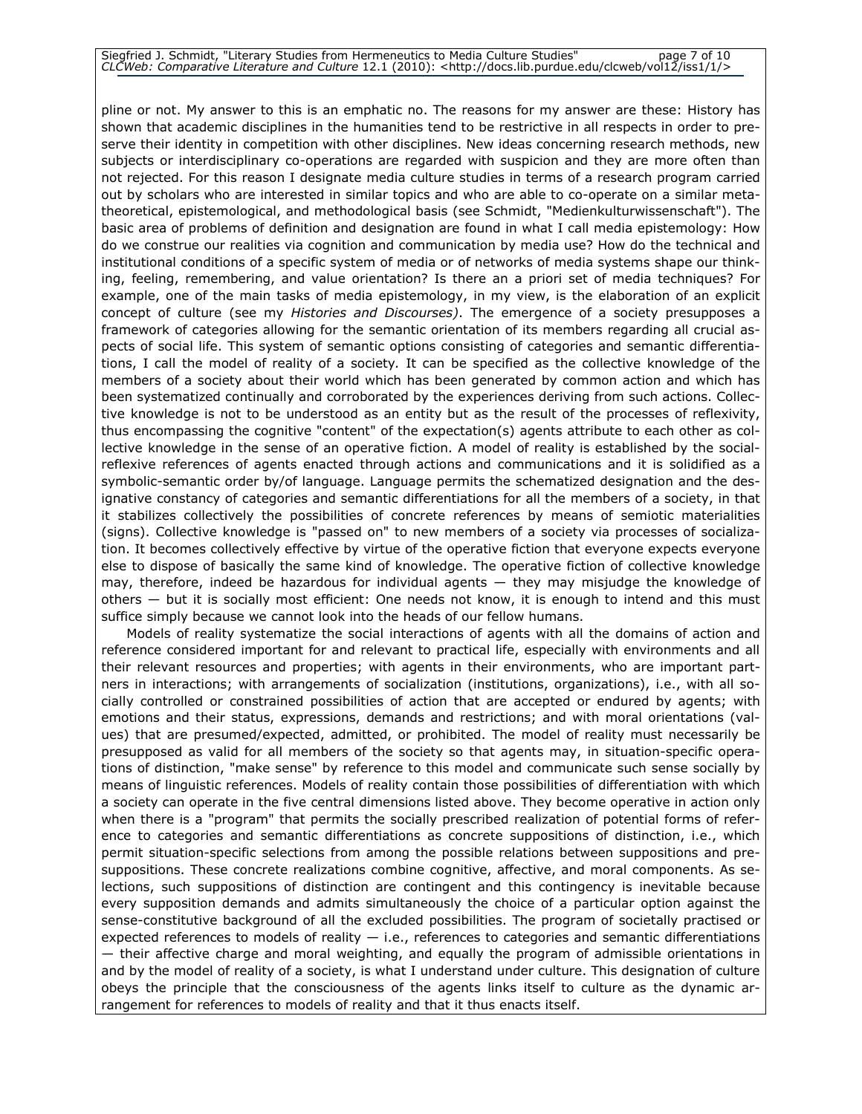#### Siegfried J. Schmidt, "Literary Studies from Hermeneutics to Media Culture Studies" page 7 of 10 CLCWeb: Comparative Literature and Culture 12.1 (2010): <http://docs.lib.purdue.edu/clcweb/vol12/iss1/1/>

pline or not. My answer to this is an emphatic no. The reasons for my answer are these: History has shown that academic disciplines in the humanities tend to be restrictive in all respects in order to preserve their identity in competition with other disciplines. New ideas concerning research methods, new subjects or interdisciplinary co-operations are regarded with suspicion and they are more often than not rejected. For this reason I designate media culture studies in terms of a research program carried out by scholars who are interested in similar topics and who are able to co-operate on a similar metatheoretical, epistemological, and methodological basis (see Schmidt, "Medienkulturwissenschaft"). The basic area of problems of definition and designation are found in what I call media epistemology: How do we construe our realities via cognition and communication by media use? How do the technical and institutional conditions of a specific system of media or of networks of media systems shape our thinking, feeling, remembering, and value orientation? Is there an a priori set of media techniques? For example, one of the main tasks of media epistemology, in my view, is the elaboration of an explicit concept of culture (see my Histories and Discourses). The emergence of a society presupposes a framework of categories allowing for the semantic orientation of its members regarding all crucial aspects of social life. This system of semantic options consisting of categories and semantic differentiations, I call the model of reality of a society. It can be specified as the collective knowledge of the members of a society about their world which has been generated by common action and which has been systematized continually and corroborated by the experiences deriving from such actions. Collective knowledge is not to be understood as an entity but as the result of the processes of reflexivity, thus encompassing the cognitive "content" of the expectation(s) agents attribute to each other as collective knowledge in the sense of an operative fiction. A model of reality is established by the socialreflexive references of agents enacted through actions and communications and it is solidified as a symbolic-semantic order by/of language. Language permits the schematized designation and the designative constancy of categories and semantic differentiations for all the members of a society, in that it stabilizes collectively the possibilities of concrete references by means of semiotic materialities (signs). Collective knowledge is "passed on" to new members of a society via processes of socialization. It becomes collectively effective by virtue of the operative fiction that everyone expects everyone else to dispose of basically the same kind of knowledge. The operative fiction of collective knowledge may, therefore, indeed be hazardous for individual agents — they may misjudge the knowledge of others — but it is socially most efficient: One needs not know, it is enough to intend and this must suffice simply because we cannot look into the heads of our fellow humans.

Models of reality systematize the social interactions of agents with all the domains of action and reference considered important for and relevant to practical life, especially with environments and all their relevant resources and properties; with agents in their environments, who are important partners in interactions; with arrangements of socialization (institutions, organizations), i.e., with all socially controlled or constrained possibilities of action that are accepted or endured by agents; with emotions and their status, expressions, demands and restrictions; and with moral orientations (values) that are presumed/expected, admitted, or prohibited. The model of reality must necessarily be presupposed as valid for all members of the society so that agents may, in situation-specific operations of distinction, "make sense" by reference to this model and communicate such sense socially by means of linguistic references. Models of reality contain those possibilities of differentiation with which a society can operate in the five central dimensions listed above. They become operative in action only when there is a "program" that permits the socially prescribed realization of potential forms of reference to categories and semantic differentiations as concrete suppositions of distinction, i.e., which permit situation-specific selections from among the possible relations between suppositions and presuppositions. These concrete realizations combine cognitive, affective, and moral components. As selections, such suppositions of distinction are contingent and this contingency is inevitable because every supposition demands and admits simultaneously the choice of a particular option against the sense-constitutive background of all the excluded possibilities. The program of societally practised or expected references to models of reality  $-$  i.e., references to categories and semantic differentiations — their affective charge and moral weighting, and equally the program of admissible orientations in and by the model of reality of a society, is what I understand under culture. This designation of culture obeys the principle that the consciousness of the agents links itself to culture as the dynamic arrangement for references to models of reality and that it thus enacts itself.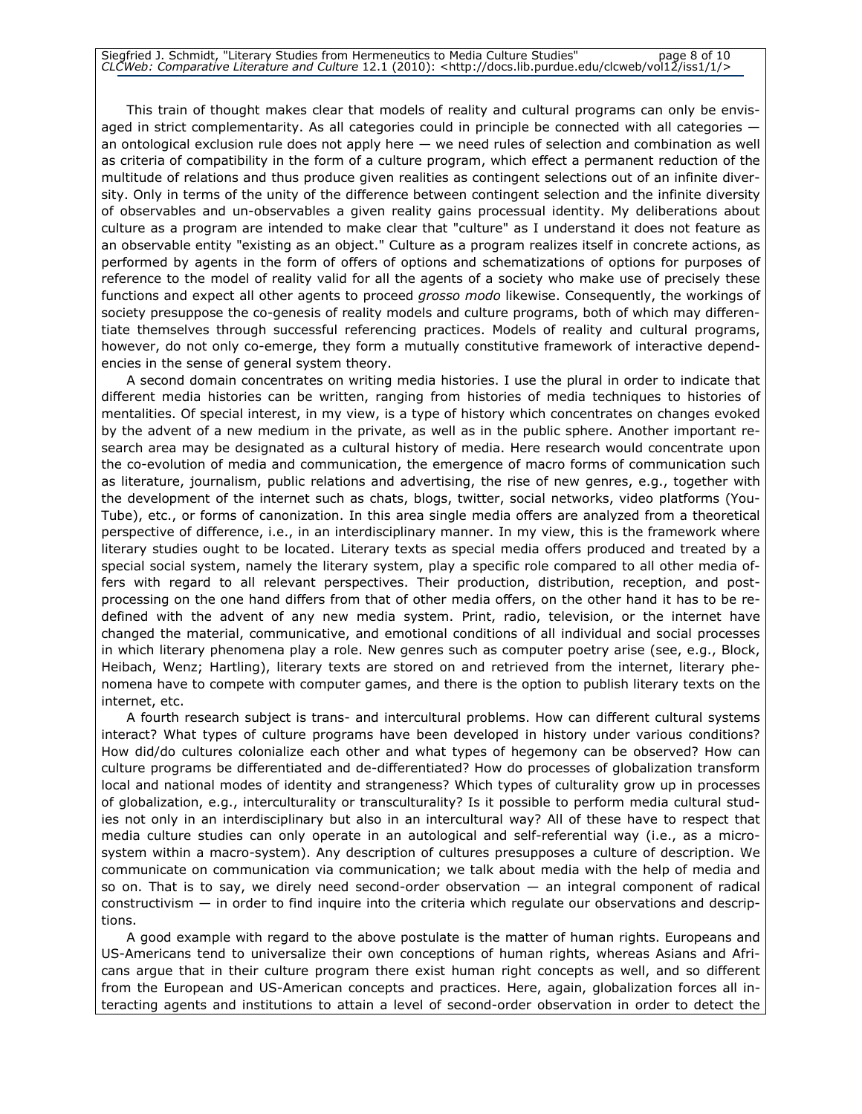This train of thought makes clear that models of reality and cultural programs can only be envisaged in strict complementarity. As all categories could in principle be connected with all categories an ontological exclusion rule does not apply here — we need rules of selection and combination as well as criteria of compatibility in the form of a culture program, which effect a permanent reduction of the multitude of relations and thus produce given realities as contingent selections out of an infinite diversity. Only in terms of the unity of the difference between contingent selection and the infinite diversity of observables and un-observables a given reality gains processual identity. My deliberations about culture as a program are intended to make clear that "culture" as I understand it does not feature as an observable entity "existing as an object." Culture as a program realizes itself in concrete actions, as performed by agents in the form of offers of options and schematizations of options for purposes of reference to the model of reality valid for all the agents of a society who make use of precisely these functions and expect all other agents to proceed *grosso modo* likewise. Consequently, the workings of society presuppose the co-genesis of reality models and culture programs, both of which may differentiate themselves through successful referencing practices. Models of reality and cultural programs, however, do not only co-emerge, they form a mutually constitutive framework of interactive dependencies in the sense of general system theory.

A second domain concentrates on writing media histories. I use the plural in order to indicate that different media histories can be written, ranging from histories of media techniques to histories of mentalities. Of special interest, in my view, is a type of history which concentrates on changes evoked by the advent of a new medium in the private, as well as in the public sphere. Another important research area may be designated as a cultural history of media. Here research would concentrate upon the co-evolution of media and communication, the emergence of macro forms of communication such as literature, journalism, public relations and advertising, the rise of new genres, e.g., together with the development of the internet such as chats, blogs, twitter, social networks, video platforms (You-Tube), etc., or forms of canonization. In this area single media offers are analyzed from a theoretical perspective of difference, i.e., in an interdisciplinary manner. In my view, this is the framework where literary studies ought to be located. Literary texts as special media offers produced and treated by a special social system, namely the literary system, play a specific role compared to all other media offers with regard to all relevant perspectives. Their production, distribution, reception, and postprocessing on the one hand differs from that of other media offers, on the other hand it has to be redefined with the advent of any new media system. Print, radio, television, or the internet have changed the material, communicative, and emotional conditions of all individual and social processes in which literary phenomena play a role. New genres such as computer poetry arise (see, e.g., Block, Heibach, Wenz; Hartling), literary texts are stored on and retrieved from the internet, literary phenomena have to compete with computer games, and there is the option to publish literary texts on the internet, etc.

A fourth research subject is trans- and intercultural problems. How can different cultural systems interact? What types of culture programs have been developed in history under various conditions? How did/do cultures colonialize each other and what types of hegemony can be observed? How can culture programs be differentiated and de-differentiated? How do processes of globalization transform local and national modes of identity and strangeness? Which types of culturality grow up in processes of globalization, e.g., interculturality or transculturality? Is it possible to perform media cultural studies not only in an interdisciplinary but also in an intercultural way? All of these have to respect that media culture studies can only operate in an autological and self-referential way (i.e., as a microsystem within a macro-system). Any description of cultures presupposes a culture of description. We communicate on communication via communication; we talk about media with the help of media and so on. That is to say, we direly need second-order observation — an integral component of radical constructivism — in order to find inquire into the criteria which regulate our observations and descriptions.

A good example with regard to the above postulate is the matter of human rights. Europeans and US-Americans tend to universalize their own conceptions of human rights, whereas Asians and Africans argue that in their culture program there exist human right concepts as well, and so different from the European and US-American concepts and practices. Here, again, globalization forces all interacting agents and institutions to attain a level of second-order observation in order to detect the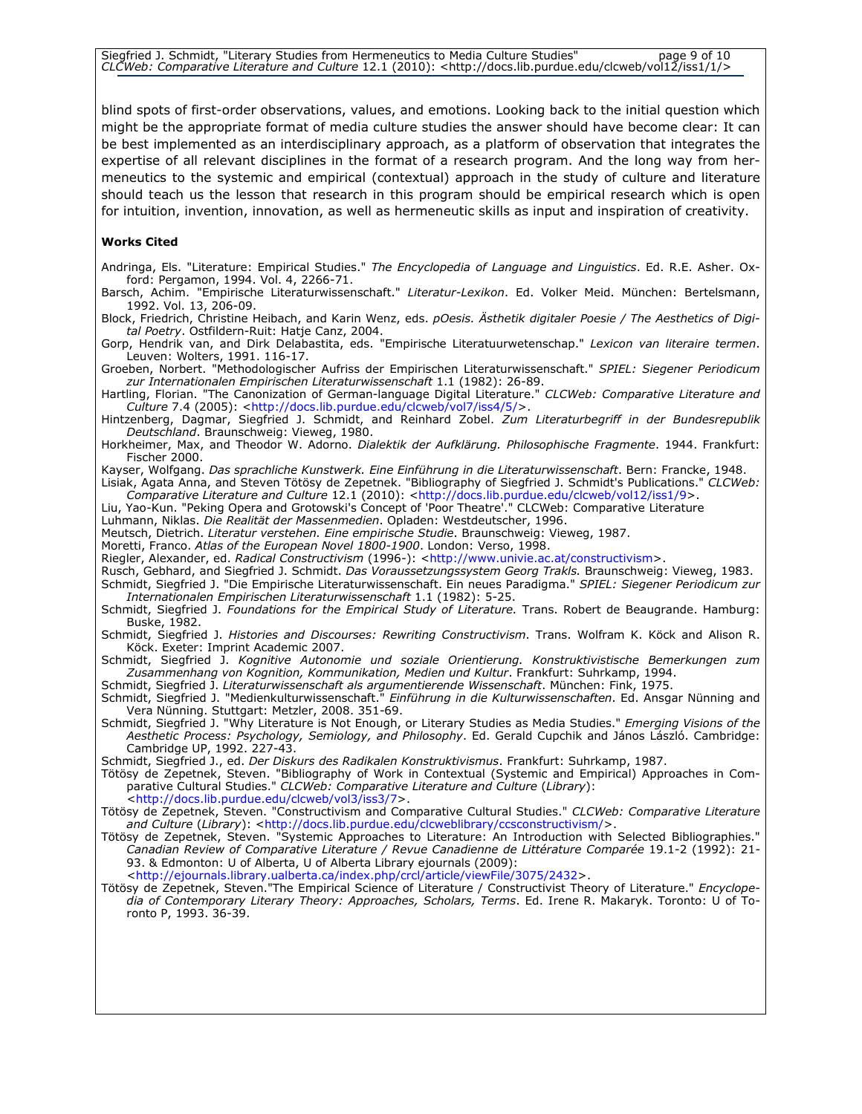Siegfried J. Schmidt, "Literary Studies from Hermeneutics to Media Culture Studies" page 9 of 10 CLCWeb: Comparative Literature and Culture 12.1 (2010): <http://docs.lib.purdue.edu/clcweb/vol12/iss1/1/>

blind spots of first-order observations, values, and emotions. Looking back to the initial question which might be the appropriate format of media culture studies the answer should have become clear: It can be best implemented as an interdisciplinary approach, as a platform of observation that integrates the expertise of all relevant disciplines in the format of a research program. And the long way from hermeneutics to the systemic and empirical (contextual) approach in the study of culture and literature should teach us the lesson that research in this program should be empirical research which is open for intuition, invention, innovation, as well as hermeneutic skills as input and inspiration of creativity.

#### Works Cited

Andringa, Els. "Literature: Empirical Studies." The Encyclopedia of Language and Linguistics. Ed. R.E. Asher. Oxford: Pergamon, 1994. Vol. 4, 2266-71.

Barsch, Achim. "Empirische Literaturwissenschaft." Literatur-Lexikon. Ed. Volker Meid. München: Bertelsmann, 1992. Vol. 13, 206-09.

Block, Friedrich, Christine Heibach, and Karin Wenz, eds. pOesis. Ästhetik digitaler Poesie / The Aesthetics of Digital Poetry. Ostfildern-Ruit: Hatje Canz, 2004.

Gorp, Hendrik van, and Dirk Delabastita, eds. "Empirische Literatuurwetenschap." Lexicon van literaire termen. Leuven: Wolters, 1991. 116-17.

Groeben, Norbert. "Methodologischer Aufriss der Empirischen Literaturwissenschaft." SPIEL: Siegener Periodicum zur Internationalen Empirischen Literaturwissenschaft 1.1 (1982): 26-89.

Hartling, Florian. "The Canonization of German-language Digital Literature." CLCWeb: Comparative Literature and Culture 7.4 (2005): <http://docs.lib.purdue.edu/clcweb/vol7/iss4/5/>.

Hintzenberg, Dagmar, Siegfried J. Schmidt, and Reinhard Zobel. Zum Literaturbegriff in der Bundesrepublik Deutschland. Braunschweig: Vieweg, 1980.

Horkheimer, Max, and Theodor W. Adorno. Dialektik der Aufklärung. Philosophische Fragmente. 1944. Frankfurt: Fischer<sup>2000</sup>.

Kayser, Wolfgang. Das sprachliche Kunstwerk. Eine Einführung in die Literaturwissenschaft. Bern: Francke, 1948. Lisiak, Agata Anna, and Steven Tötösy de Zepetnek. "Bibliography of Siegfried J. Schmidt's Publications." CLCWeb:

Comparative Literature and Culture 12.1 (2010): <http://docs.lib.purdue.edu/clcweb/vol12/iss1/9>.

Liu, Yao-Kun. "Peking Opera and Grotowski's Concept of 'Poor Theatre'." CLCWeb: Comparative Literature

Luhmann, Niklas. Die Realität der Massenmedien. Opladen: Westdeutscher, 1996.

- Meutsch, Dietrich. Literatur verstehen. Eine empirische Studie. Braunschweig: Vieweg, 1987.
- Moretti, Franco. Atlas of the European Novel 1800-1900. London: Verso, 1998.

Riegler, Alexander, ed. Radical Constructivism (1996-): <http://www.univie.ac.at/constructivism>.

Rusch, Gebhard, and Siegfried J. Schmidt. Das Voraussetzungssystem Georg Trakls. Braunschweig: Vieweg, 1983. Schmidt, Siegfried J. "Die Empirische Literaturwissenschaft. Ein neues Paradigma." SPIEL: Siegener Periodicum zur Internationalen Empirischen Literaturwissenschaft 1.1 (1982): 5-25.

Schmidt, Siegfried J. Foundations for the Empirical Study of Literature. Trans. Robert de Beaugrande. Hamburg: Buske, 1982.

Schmidt, Siegfried J. Histories and Discourses: Rewriting Constructivism. Trans. Wolfram K. Köck and Alison R. Köck. Exeter: Imprint Academic 2007.

Schmidt, Siegfried J. Kognitive Autonomie und soziale Orientierung. Konstruktivistische Bemerkungen zum Zusammenhang von Kognition, Kommunikation, Medien und Kultur. Frankfurt: Suhrkamp, 1994.

Schmidt, Siegfried J. Literaturwissenschaft als argumentierende Wissenschaft. München: Fink, 1975.

- Schmidt, Siegfried J. "Medienkulturwissenschaft." Einführung in die Kulturwissenschaften. Ed. Ansgar Nünning and Vera Nünning. Stuttgart: Metzler, 2008. 351-69.
- Schmidt, Siegfried J. "Why Literature is Not Enough, or Literary Studies as Media Studies." Emerging Visions of the Aesthetic Process: Psychology, Semiology, and Philosophy. Ed. Gerald Cupchik and János László. Cambridge: Cambridge UP, 1992. 227-43.

Schmidt, Siegfried J., ed. Der Diskurs des Radikalen Konstruktivismus. Frankfurt: Suhrkamp, 1987.

Tötösy de Zepetnek, Steven. "Bibliography of Work in Contextual (Systemic and Empirical) Approaches in Comparative Cultural Studies." *CLCWeb: Comparative Literature and Culture (Library)*: <http://docs.lib.purdue.edu/clcweb/vol3/iss3/7>.

Tötösy de Zepetnek, Steven. "Constructivism and Comparative Cultural Studies." CLCWeb: Comparative Literature and Culture (Library): <http://docs.lib.purdue.edu/clcweblibrary/ccsconstructivism/>.

Tötösy de Zepetnek, Steven. "Systemic Approaches to Literature: An Introduction with Selected Bibliographies." Canadian Review of Comparative Literature / Revue Canadienne de Littérature Comparée 19.1-2 (1992): 21- 93. & Edmonton: U of Alberta, U of Alberta Library ejournals (2009):

<http://ejournals.library.ualberta.ca/index.php/crcl/article/viewFile/3075/2432>.

Tötösy de Zepetnek, Steven."The Empirical Science of Literature / Constructivist Theory of Literature." Encyclopedia of Contemporary Literary Theory: Approaches, Scholars, Terms. Ed. Irene R. Makaryk. Toronto: U of Toronto P, 1993. 36-39.